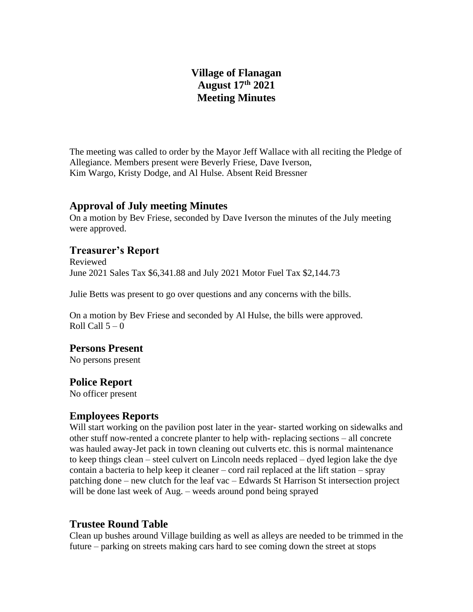# **Village of Flanagan August 17th 2021 Meeting Minutes**

The meeting was called to order by the Mayor Jeff Wallace with all reciting the Pledge of Allegiance. Members present were Beverly Friese, Dave Iverson, Kim Wargo, Kristy Dodge, and Al Hulse. Absent Reid Bressner

#### **Approval of July meeting Minutes**

On a motion by Bev Friese, seconded by Dave Iverson the minutes of the July meeting were approved.

## **Treasurer's Report**

Reviewed June 2021 Sales Tax \$6,341.88 and July 2021 Motor Fuel Tax \$2,144.73

Julie Betts was present to go over questions and any concerns with the bills.

On a motion by Bev Friese and seconded by Al Hulse, the bills were approved. Roll Call  $5 - 0$ 

### **Persons Present**

No persons present

#### **Police Report**

No officer present

### **Employees Reports**

Will start working on the pavilion post later in the year- started working on sidewalks and other stuff now-rented a concrete planter to help with- replacing sections – all concrete was hauled away-Jet pack in town cleaning out culverts etc. this is normal maintenance to keep things clean – steel culvert on Lincoln needs replaced – dyed legion lake the dye contain a bacteria to help keep it cleaner – cord rail replaced at the lift station – spray patching done – new clutch for the leaf vac – Edwards St Harrison St intersection project will be done last week of Aug. – weeds around pond being sprayed

## **Trustee Round Table**

Clean up bushes around Village building as well as alleys are needed to be trimmed in the future – parking on streets making cars hard to see coming down the street at stops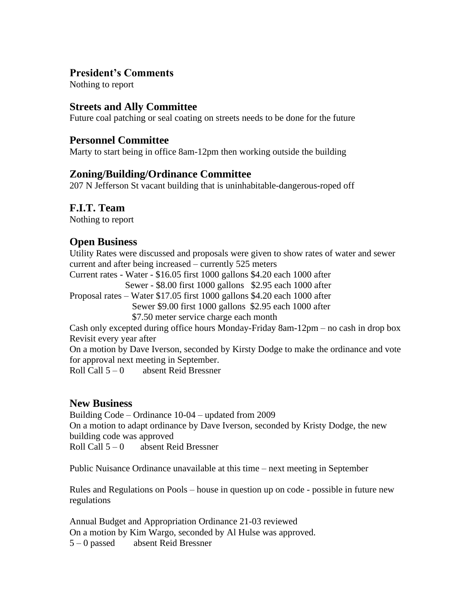## **President's Comments**

Nothing to report

### **Streets and Ally Committee**

Future coal patching or seal coating on streets needs to be done for the future

#### **Personnel Committee**

Marty to start being in office 8am-12pm then working outside the building

### **Zoning/Building/Ordinance Committee**

207 N Jefferson St vacant building that is uninhabitable-dangerous-roped off

### **F.I.T. Team**

Nothing to report

### **Open Business**

Utility Rates were discussed and proposals were given to show rates of water and sewer current and after being increased – currently 525 meters

Current rates - Water - \$16.05 first 1000 gallons \$4.20 each 1000 after

Sewer - \$8.00 first 1000 gallons \$2.95 each 1000 after

Proposal rates – Water \$17.05 first 1000 gallons \$4.20 each 1000 after

Sewer \$9.00 first 1000 gallons \$2.95 each 1000 after

\$7.50 meter service charge each month

Cash only excepted during office hours Monday-Friday 8am-12pm – no cash in drop box Revisit every year after

On a motion by Dave Iverson, seconded by Kirsty Dodge to make the ordinance and vote for approval next meeting in September.

Roll Call  $5 - 0$  absent Reid Bressner

### **New Business**

Building Code – Ordinance 10-04 – updated from 2009 On a motion to adapt ordinance by Dave Iverson, seconded by Kristy Dodge, the new building code was approved Roll Call 5 – 0 absent Reid Bressner

Public Nuisance Ordinance unavailable at this time – next meeting in September

Rules and Regulations on Pools – house in question up on code - possible in future new regulations

Annual Budget and Appropriation Ordinance 21-03 reviewed On a motion by Kim Wargo, seconded by Al Hulse was approved. 5 – 0 passed absent Reid Bressner